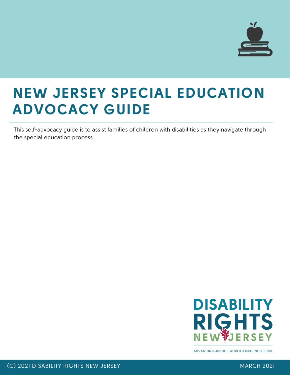

This self-advocacy guide is to assist families of children with disabilities as they navigate through the special education process.



**ADVANCING JUSTICE. ADVOCATING INCLUSION.**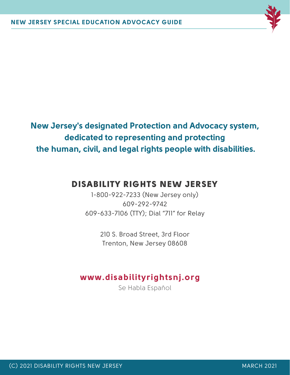

**New Jersey's designated Protection and Advocacy system, dedicated to representing and protecting the human, civil, and legal rights people with disabilities.**

## DISABILITY RIGHTS NEW JERSEY

1-800-922-7233 (New Jersey only) 609-292-9742 609-633-7106 (TTY); Dial "711" for Relay

> 210 S. Broad Street, 3rd Floor Trenton, New Jersey 08608

### **www.disabilityrightsnj.org**

Se Habla Espaňol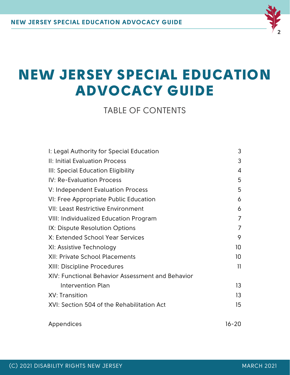

TABLE OF CONTENTS

| I: Legal Authority for Special Education                                                                 | 3           |                                            |           |
|----------------------------------------------------------------------------------------------------------|-------------|--------------------------------------------|-----------|
| II: Initial Evaluation Process<br>III: Special Education Eligibility<br><b>IV: Re-Evaluation Process</b> | 3<br>4<br>5 |                                            |           |
|                                                                                                          |             | V: Independent Evaluation Process          | 5         |
|                                                                                                          |             | VI: Free Appropriate Public Education      | 6         |
| <b>VII: Least Restrictive Environment</b>                                                                | 6           |                                            |           |
| <b>VIII: Individualized Education Program</b>                                                            | 7           |                                            |           |
| IX: Dispute Resolution Options                                                                           | 7           |                                            |           |
| X: Extended School Year Services<br>XI: Assistive Technology                                             | 9<br>10     |                                            |           |
|                                                                                                          |             | <b>XII: Private School Placements</b>      | 10        |
| <b>XIII: Discipline Procedures</b>                                                                       | 11          |                                            |           |
| XIV: Functional Behavior Assessment and Behavior<br><b>Intervention Plan</b><br>XV: Transition           | 13<br>13    |                                            |           |
|                                                                                                          |             | XVI: Section 504 of the Rehabilitation Act | 15        |
|                                                                                                          |             | Appendices                                 | $16 - 20$ |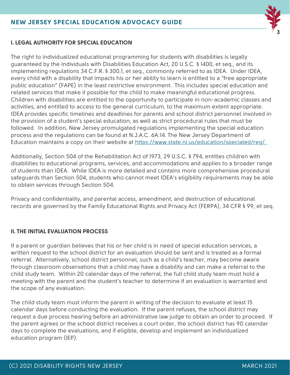

#### **I. LEGAL AUTHORITY FOR SPECIAL EDUCATION**

The right to individualized educational programming for students with disabilities is legally guaranteed by the Individuals with Disabilities Education Act, 20 U.S.C. § 1400, et seq., and its implementing regulations 34 C.F.R. § 300.1, et seq., commonly referred to as IDEA. Under IDEA, every child with a disability that impacts his or her ability to learn is entitled to a "free appropriate public education" (FAPE) in the least restrictive environment. This includes special education and related services that make it possible for the child to make meaningful educational progress. Children with disabilities are entitled to the opportunity to participate in non-academic classes and activities, and entitled to access to the general curriculum, to the maximum extent appropriate. IDEA provides specific timelines and deadlines for parents and school district personnel involved in the provision of a student's special education, as well as strict procedural rules that must be followed. In addition, New Jersey promulgated regulations implementing the special education process and the regulations can be found at N.J.A.C. 6A:14. The New Jersey Department of Education maintains a copy on their website at [https://www.state.nj.us/education/specialed/reg/.](https://www.state.nj.us/education/specialed/reg/)

Additionally, Section 504 of the Rehabilitation Act of 1973, 29 U.S.C. § 794, entitles children with disabilities to educational programs, services, and accommodations and applies to a broader range of students than IDEA. While IDEA is more detailed and contains more comprehensive procedural safeguards than Section 504, students who cannot meet IDEA's eligibility requirements may be able to obtain services through Section 504.

Privacy and confidentiality, and parental access, amendment, and destruction of educational records are governed by the Family Educational Rights and Privacy Act (FERPA), 34 CFR § 99, et seq.

#### **II. THE INITIAL EVALUATION PROCESS**

If a parent or guardian believes that his or her child is in need of special education services, a written request to the school district for an evaluation should be sent and is treated as a formal referral. Alternatively, school district personnel, such as a child's teacher, may become aware through classroom observations that a child may have a disability and can make a referral to the child study team. Within 20 calendar days of the referral, the full child study team must hold a meeting with the parent and the student's teacher to determine if an evaluation is warranted and the scope of any evaluation.

The child study team must inform the parent in writing of the decision to evaluate at least 15 calendar days before conducting the evaluation. If the parent refuses, the school district may request a due process hearing before an administrative law judge to obtain an order to proceed. If the parent agrees or the school district receives a court order, the school district has 90 calendar days to complete the evaluations, and if eligible, develop and implement an individualized education program (IEP).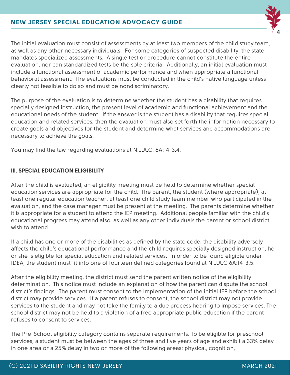

The initial evaluation must consist of assessments by at least two members of the child study team, as well as any other necessary individuals. For some categories of suspected disability, the state mandates specialized assessments. A single test or procedure cannot constitute the entire evaluation, nor can standardized tests be the sole criteria. Additionally, an initial evaluation must include a functional assessment of academic performance and when appropriate a functional behavioral assessment. The evaluations must be conducted in the child's native language unless clearly not feasible to do so and must be nondiscriminatory.

The purpose of the evaluation is to determine whether the student has a disability that requires specially designed instruction, the present level of academic and functional achievement and the educational needs of the student. If the answer is the student has a disability that requires special education and related services, then the evaluation must also set forth the information necessary to create goals and objectives for the student and determine what services and accommodations are necessary to achieve the goals.

You may find the law regarding evaluations at N.J.A.C. 6A:14-3.4.

#### **III. SPECIAL EDUCATION ELIGIBILITY**

After the child is evaluated, an eligibility meeting must be held to determine whether special education services are appropriate for the child. The parent, the student (where appropriate), at least one regular education teacher, at least one child study team member who participated in the evaluation, and the case manager must be present at the meeting. The parents determine whether it is appropriate for a student to attend the IEP meeting. Additional people familiar with the child's educational progress may attend also, as well as any other individuals the parent or school district wish to attend.

If a child has one or more of the disabilities as defined by the state code, the disability adversely affects the child's educational performance and the child requires specially designed instruction, he or she is eligible for special education and related services. In order to be found eligible under IDEA, the student must fit into one of fourteen defined categories found at N.J.A.C 6A:14-3.5.

After the eligibility meeting, the district must send the parent written notice of the eligibility determination. This notice must include an explanation of how the parent can dispute the school district's findings. The parent must consent to the implementation of the initial IEP before the school district may provide services. If a parent refuses to consent, the school district may not provide services to the student and may not take the family to a due process hearing to impose services. The school district may not be held to a violation of a free appropriate public education if the parent refuses to consent to services.

The Pre-School eligibility category contains separate requirements. To be eligible for preschool services, a student must be between the ages of three and five years of age and exhibit a 33% delay in one area or a 25% delay in two or more of the following areas: physical, cognition,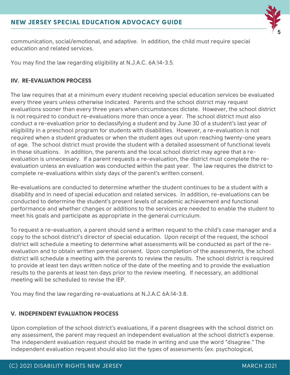

communication, social/emotional, and adaptive. In addition, the child must require special education and related services.

You may find the law regarding eligibility at N.J.A.C. 6A:14-3.5.

#### **IIV. RE-EVALUATION PROCESS**

The law requires that at a minimum every student receiving special education services be evaluated every three years unless otherwise indicated. Parents and the school district may request evaluations sooner than every three years when circumstances dictate. However, the school district is not required to conduct re-evaluations more than once a year. The school district must also conduct a re-evaluation prior to declassifying a student and by June 30 of a student's last year of eligibility in a preschool program for students with disabilities. However, a re-evaluation is not required when a student graduates or when the student ages out upon reaching twenty-one years of age. The school district must provide the student with a detailed assessment of functional levels in these situations. In addition, the parents and the local school district may agree that a reevaluation is unnecessary. If a parent requests a re-evaluation, the district must complete the reevaluation unless an evaluation was conducted within the past year. The law requires the district to complete re-evaluations within sixty days of the parent's written consent.

Re-evaluations are conducted to determine whether the student continues to be a student with a disability and in need of special education and related services. In addition, re-evaluations can be conducted to determine the student's present levels of academic achievement and functional performance and whether changes or additions to the services are needed to enable the student to meet his goals and participate as appropriate in the general curriculum.

To request a re-evaluation, a parent should send a written request to the child's case manager and a copy to the school district's director of special education. Upon receipt of the request, the school district will schedule a meeting to determine what assessments will be conducted as part of the reevaluation and to obtain written parental consent. Upon completion of the assessments, the school district will schedule a meeting with the parents to review the results. The school district is required to provide at least ten days written notice of the date of the meeting and to provide the evaluation results to the parents at least ten days prior to the review meeting. If necessary, an additional meeting will be scheduled to revise the IEP.

You may find the law regarding re-evaluations at N.J.A.C 6A:14-3.8.

#### **V. INDEPENDENT EVALUATION PROCESS**

Upon completion of the school district's evaluations, if a parent disagrees with the school district on any assessment, the parent may request an independent evaluation at the school district's expense. The independent evaluation request should be made in writing and use the word "disagree." The independent evaluation request should also list the types of assessments (ex. psychological,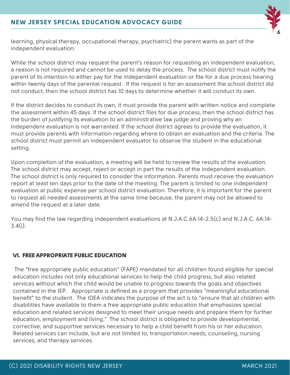

learning, physical therapy, occupational therapy, psychiatric) the parent wants as part of the independent evaluation.

While the school district may request the parent's reason for requesting an independent evaluation, a reason is not required and cannot be used to delay the process. The school district must notify the parent of its intention to either pay for the independent evaluation or file for a due process hearing within twenty days of the parental request. If the request is for an assessment the school district did not conduct, then the school district has 10 days to determine whether it will conduct its own.

If the district decides to conduct its own, it must provide the parent with written notice and complete the assessment within 45 days. If the school district files for due process, then the school district has the burden of justifying its evaluation to an administrative law judge and proving why an independent evaluation is not warranted. If the school district agrees to provide the evaluation, it must provide parents with information regarding where to obtain an evaluation and the criteria. The school district must permit an independent evaluator to observe the student in the educational setting.

Upon completion of the evaluation, a meeting will be held to review the results of the evaluation. The school district may accept, reject or accept in part the results of the independent evaluation. The school district is only required to consider the information. Parents must receive the evaluation report at least ten days prior to the date of the meeting. The parent is limited to one independent evaluation at public expense per school district evaluation. Therefore, it is important for the parent to request all needed assessments at the same time because, the parent may not be allowed to amend the request at a later date.

You may find the law regarding independent evaluations at N.J.A.C 6A:14-2.5(c) and N.J.A.C. 6A:14-  $3.4(i)$ .

#### VI. FREE APPROPRIATE PUBLIC EDUCATION

The "free appropriate public education" (FAPE) mandated for all children found eligible for special education includes not only educational services to help the child progress, but also related services without which the child would be unable to progress towards the goals and objectives contained in the IEP. Appropriate is defined as a program that provides "meaningful educational benefit" to the student. The IDEA indicates the purpose of the act is to "ensure that all children with disabilities have available to them a free appropriate public education that emphasizes special education and related services designed to meet their unique needs and prepare them for further education, employment and living." The school district is obligated to provide developmental, corrective, and supportive services necessary to help a child benefit from his or her education. Related services can include, but are not limited to, transportation needs, counseling, nursing services, and therapy services.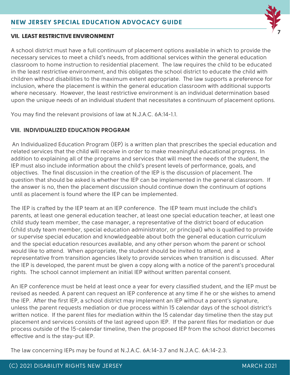

#### VII. LEAST RESTRICTIVE ENVIRONMENT

A school district must have a full continuum of placement options available in which to provide the necessary services to meet a child's needs, from additional services within the general education classroom to home instruction to residential placement. The law requires the child to be educated in the least restrictive environment, and this obligates the school district to educate the child with children without disabilities to the maximum extent appropriate. The law supports a preference for inclusion, where the placement is within the general education classroom with additional supports where necessary. However, the least restrictive environment is an individual determination based upon the unique needs of an individual student that necessitates a continuum of placement options.

You may find the relevant provisions of law at N.J.A.C. 6A:14-1.1.

#### **VIII. INDIVIDUALIZED EDUCATION PROGRAM**

An Individualized Education Program (IEP) is a written plan that prescribes the special education and related services that the child will receive in order to make meaningful educational progress. In addition to explaining all of the programs and services that will meet the needs of the student, the IEP must also include information about the child's present levels of performance, goals, and objectives. The final discussion in the creation of the IEP is the discussion of placement. The question that should be asked is whether the IEP can be implemented in the general classroom. If the answer is no, then the placement discussion should continue down the continuum of options until as placement is found where the IEP can be implemented.

The IEP is crafted by the IEP team at an IEP conference. The IEP team must include the child's parents, at least one general education teacher, at least one special education teacher, at least one child study team member, the case manager, a representative of the district board of education (child study team member, special education administrator, or principal) who is qualified to provide or supervise special education and knowledgeable about both the general education curriculum and the special education resources available, and any other person whom the parent or school would like to attend. When appropriate, the student should be invited to attend, and a representative from transition agencies likely to provide services when transition is discussed. After the IEP is developed, the parent must be given a copy along with a notice of the parent's procedural rights. The school cannot implement an initial IEP without written parental consent.

An IEP conference must be held at least once a year for every classified student, and the IEP must be revised as needed. A parent can request an IEP conference at any time if he or she wishes to amend the IEP. After the first IEP, a school district may implement an IEP without a parent's signature, unless the parent requests mediation or due process within 15 calendar days of the school district's written notice. If the parent files for mediation within the 15 calendar day timeline then the stay put placement and services consists of the last agreed upon IEP. If the parent files for mediation or due process outside of the 15-calendar timeline, then the proposed IEP from the school district becomes effective and is the stay-put IEP.

The law concerning IEPs may be found at N.J.A.C. 6A:14-3.7 and N.J.A.C. 6A:14-2.3.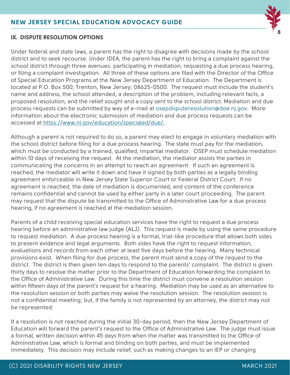

#### **IX. DISPUTE RESOLUTION OPTIONS**

Under federal and state laws, a parent has the right to disagree with decisions made by the school district and to seek recourse. Under IDEA, the parent has the right to bring a complaint against the school district through three avenues: participating in mediation, requesting a due process hearing, or filing a complaint investigation. All three of these options are filed with the Director of the Office of Special Education Programs at the New Jersey Department of Education. The Department is located at P.O. Box 500; Trenton, New Jersey; 08625-0500. The request must include the student's name and address, the school attended, a description of the problem, including relevant facts, a proposed resolution, and the relief sought and a copy sent to the school district. Mediation and due process requests can be submitted by way of e-mail at osepdisputeresolution@doe.nj.gov. More information about the electronic submission of mediation and due process requests can be accessed at [https://www.nj.gov/education/specialed/due/.](https://www.nj.gov/education/specialed/due/)

Although a parent is not required to do so, a parent may elect to engage in voluntary mediation with the school district before filing for a due process hearing. The state must pay for the mediation, which must be conducted by a trained, qualified, impartial mediator. OSEP must schedule mediation within 10 days of receiving the request. At the mediation, the mediator assists the parties in communicating the concerns in an attempt to reach an agreement. If such an agreement is reached, the mediator will write it down and have it signed by both parties as a legally binding agreement enforceable in New Jersey State Superior Court or Federal District Court. If no agreement is reached, the date of mediation is documented, and content of the conference remains confidential and cannot be used by either party in a later court proceeding. The parent may request that the dispute be transmitted to the Office of Administrative Law for a due process hearing, if no agreement is reached at the mediation session.

Parents of a child receiving special education services have the right to request a due process hearing before an administrative law judge (ALJ). This request is made by using the same procedure to request mediation. A due process hearing is a formal, trial-like procedure that allows both sides to present evidence and legal arguments. Both sides have the right to request information, evaluations and records from each other at least five days before the hearing. Many technical provisions exist. When filing for due process, the parent must send a copy of the request to the district. The district is then given ten days to respond to the parents' complaint. The district is given thirty days to resolve the matter prior to the Department of Education forwarding the complaint to the Office of Administrative Law. During this time the district must convene a resolution session within fifteen days of the parent's request for a hearing. Mediation may be used as an alternative to the resolution session or both parties may waive the resolution session. The resolution session is not a confidential meeting; but, if the family is not represented by an attorney, the district may not be represented.

If a resolution is not reached during the initial 30-day period, then the New Jersey Department of Education will forward the parent's request to the Office of Administrative Law. The judge must issue a formal, written decision within 45 days from when the matter was transmitted to the Office of Administrative Law, which is formal and binding on both parties, and must be implemented immediately. This decision may include relief, such as making changes to an IEP or changing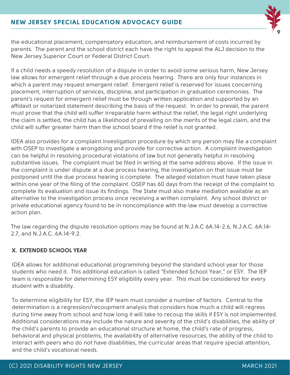

the educational placement, compensatory education, and reimbursement of costs incurred by parents. The parent and the school district each have the right to appeal the ALJ decision to the New Jersey Superior Court or Federal District Court.

If a child needs a speedy resolution of a dispute in order to avoid some serious harm, New Jersey law allows for emergent relief through a due process hearing. There are only four instances in which a parent may request emergent relief. Emergent relief is reserved for issues concerning placement, interruption of services, discipline, and participation in graduation ceremonies. The parent's request for emergent relief must be through written application and supported by an affidavit or notarized statement describing the basis of the request. In order to prevail, the parent must prove that the child will suffer irreparable harm without the relief, the legal right underlying the claim is settled, the child has a likelihood of prevailing on the merits of the legal claim, and the child will suffer greater harm than the school board if the relief is not granted.

IDEA also provides for a complaint investigation procedure by which any person may file a complaint with OSEP to investigate a wrongdoing and provide for corrective action. A complaint investigation can be helpful in resolving procedural violations of law but not generally helpful in resolving substantive issues. The complaint must be filed in writing at the same address above. If the issue in the complaint is under dispute at a due process hearing, the investigation on that issue must be postponed until the due process hearing is complete. The alleged violation must have taken place within one year of the filing of the complaint. OSEP has 60 days from the receipt of the complaint to complete its evaluation and issue its findings. The State must also make mediation available as an alternative to the investigation process once receiving a written complaint. Any school district or private educational agency found to be in noncompliance with the law must develop a corrective action plan.

The law regarding the dispute resolution options may be found at N.J.A.C 6A:14-2.6, N.J.A.C. 6A:14- 2.7, and N.J.A.C. 6A:14-9.2.

#### **X. EXTENDED SCHOOL YEAR**

IDEA allows for additional educational programming beyond the standard school year for those students who need it. This additional education is called "Extended School Year," or ESY. The IEP team is responsible for determining ESY eligibility every year. This must be considered for every student with a disability.

To determine eligibility for ESY, the IEP team must consider a number of factors. Central to the determination is a regression/recoupment analysis that considers how much a child will regress during time away from school and how long it will take to recoup the skills if ESY is not implemented. Additional considerations may include the nature and severity of the child's disabilities, the ability of the child's parents to provide an educational structure at home, the child's rate of progress, behavioral and physical problems, the availability of alternative resources, the ability of the child to interact with peers who do not have disabilities, the curricular areas that require special attention, and the child's vocational needs.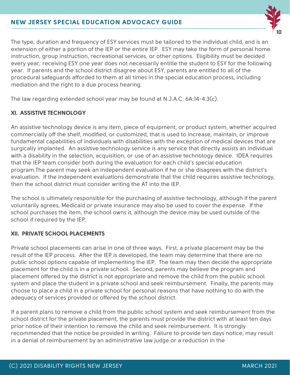

The type, duration and frequency of ESY services must be tailored to the individual child, and is an extension of either a portion of the IEP or the entire IEP. ESY may take the form of personal home instruction, group instruction, recreational services, or other options. Eligibility must be decided every year; receiving ESY one year does not necessarily entitle the student to ESY for the following year. If parents and the school district disagree about ESY, parents are entitled to all of the procedural safeguards afforded to them at all times in the special education process, including mediation and the right to a due process hearing.

The law regarding extended school year may be found at N.J.A.C. 6A:14-4.3(c).

#### **XI. ASSISTIVE TECHNOLOGY**

An assistive technology device is any item, piece of equipment, or product system, whether acquired commercially off the shelf, modified, or customized, that is used to increase, maintain, or improve fundamental capabilities of individuals with disabilities with the exception of medical devices that are surgically implanted. An assistive technology service is any service that directly assists an individual with a disability in the selection, acquisition, or use of an assistive technology device. IDEA requires that the IEP team consider both during the evaluation for each child's special education program.The parent may seek an independent evaluation if he or she disagrees with the district's evaluation. If the independent evaluations demonstrate that the child requires assistive technology, then the school district must consider writing the AT into the IEP.

The school is ultimately responsible for the purchasing of assistive technology, although if the parent voluntarily agrees, Medicaid or private insurance may also be used to cover the expense. If the school purchases the item, the school owns it, although the device may be used outside of the school if required by the IEP.

#### **XII. PRIVATE SCHOOL PLACEMENTS**

Private school placements can arise in one of three ways. First, a private placement may be the result of the IEP process. After the IEP is developed, the team may determine that there are no public school options capable of implementing the IEP. The team may then decide the appropriate placement for the child is in a private school. Second, parents may believe the program and placement offered by the district is not appropriate and remove the child from the public school system and place the student in a private school and seek reimbursement. Finally, the parents may choose to place a child in a private school for personal reasons that have nothing to do with the adequacy of services provided or offered by the school district.

If a parent plans to remove a child from the public school system and seek reimbursement from the school district for the private placement, the parents must provide the district with at least ten days prior notice of their intention to remove the child and seek reimbursement. It is strongly recommended that the notice be provided in writing. Failure to provide ten days notice, may result in a denial of reimbursement by an administrative law judge or a reduction in the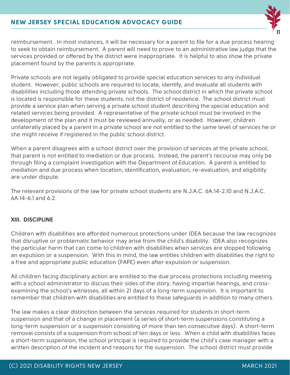

reimbursement. In most instances, it will be necessary for a parent to file for a due process hearing to seek to obtain reimbursement. A parent will need to prove to an administrative law judge that the services provided or offered by the district were inappropriate. It is helpful to also show the private placement found by the parents is appropriate.

Private schools are not legally obligated to provide special education services to any individual student. However, public schools are required to locate, identify, and evaluate all students with disabilities including those attending private schools. The school district in which the private school is located is responsible for these students, not the district of residence. The school district must provide a service plan when serving a private school student describing the special education and related services being provided. A representative of the private school must be involved in the development of the plan and it must be reviewed annually, or as needed. However, children unilaterally placed by a parent in a private school are not entitled to the same level of services he or she might receive if registered in the public school district.

When a parent disagrees with a school district over the provision of services at the private school, that parent is not entitled to mediation or due process. Instead, the parent's recourse may only be through filing a complaint investigation with the Department of Education. A parent is entitled to mediation and due process when location, identification, evaluation, re-evaluation, and eligibility are under dispute.

The relevant provisions of the law for private school students are N.J.A.C. 6A:14-2.10 and N.J.A.C.  $6A:14-6.1$  and  $6.2$ .

#### **XIII. DISCIPLINE**

Children with disabilities are afforded numerous protections under IDEA because the law recognizes that disruptive or problematic behavior may arise from the child's disability. IDEA also recognizes the particular harm that can come to children with disabilities when services are stopped following an expulsion or a suspension. With this in mind, the law entitles children with disabilities the right to a free and appropriate public education (FAPE) even after expulsion or suspension.

All children facing disciplinary action are entitled to the due process protections including meeting with a school administrator to discuss their sides of the story, having impartial hearings, and crossexamining the school's witnesses, all within 21 days of a long-term suspension. It is important to remember that children with disabilities are entitled to these safeguards in addition to many others.

The law makes a clear distinction between the services required for students in short-term suspension and that of a change in placement (a series of short-term suspensions constituting a long-term suspension or a suspension consisting of more than ten consecutive days). A short-term removal consists of a suspension from school of ten days or less. When a child with disabilities faces a short-term suspension, the school principal is required to provide the child's case manager with a written description of the incident and reasons for the suspension. The school district must provide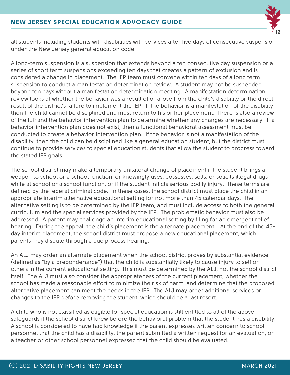

all students including students with disabilities with services after five days of consecutive suspension under the New Jersey general education code.

A long-term suspension is a suspension that extends beyond a ten consecutive day suspension or a series of short term suspensions exceeding ten days that creates a pattern of exclusion and is considered a change in placement. The IEP team must convene within ten days of a long term suspension to conduct a manifestation determination review. A student may not be suspended beyond ten days without a manifestation determination meeting. A manifestation determination review looks at whether the behavior was a result of or arose from the child's disability or the direct result of the district's failure to implement the IEP. If the behavior is a manifestation of the disability then the child cannot be disciplined and must return to his or her placement. There is also a review of the IEP and the behavior intervention plan to determine whether any changes are necessary. If a behavior intervention plan does not exist, then a functional behavioral assessment must be conducted to create a behavior intervention plan. If the behavior is not a manifestation of the disability, then the child can be disciplined like a general education student, but the district must continue to provide services to special education students that allow the student to progress toward the stated IEP goals.

The school district may make a temporary unilateral change of placement if the student brings a weapon to school or a school function, or knowingly uses, possesses, sells, or solicits illegal drugs while at school or a school function, or if the student inflicts serious bodily injury. These terms are defined by the federal criminal code. In these cases, the school district must place the child in an appropriate interim alternative educational setting for not more than 45 calendar days. The alternative setting is to be determined by the IEP team, and must include access to both the general curriculum and the special services provided by the IEP. The problematic behavior must also be addressed. A parent may challenge an interim educational setting by filing for an emergent relief hearing. During the appeal, the child's placement is the alternate placement. At the end of the 45 day interim placement, the school district must propose a new educational placement, which parents may dispute through a due process hearing.

An ALJ may order an alternate placement when the school district proves by substantial evidence (defined as "by a preponderance") that the child is substantially likely to cause injury to self or others in the current educational setting. This must be determined by the ALJ, not the school district itself. The ALJ must also consider the appropriateness of the current placement; whether the school has made a reasonable effort to minimize the risk of harm, and determine that the proposed alternative placement can meet the needs in the IEP. The ALJ may order additional services or changes to the IEP before removing the student, which should be a last resort.

A child who is not classified as eligible for special education is still entitled to all of the above safeguards if the school district knew before the behavioral problem that the student has a disability. A school is considered to have had knowledge if the parent expresses written concern to school personnel that the child has a disability, the parent submitted a written request for an evaluation, or a teacher or other school personnel expressed that the child should be evaluated.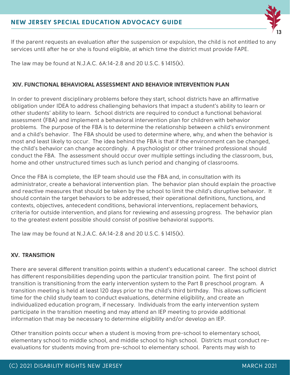

If the parent requests an evaluation after the suspension or expulsion, the child is not entitled to any services until after he or she is found eligible, at which time the district must provide FAPE.

The law may be found at N.J.A.C. 6A:14-2.8 and 20 U.S.C. § 1415(k).

#### **XIV. FUNCTIONAL BEHAVIORAL ASSESSMENT AND BEHAVIOR INTERVENTION PLAN**

In order to prevent disciplinary problems before they start, school districts have an affirmative obligation under IDEA to address challenging behaviors that impact a student's ability to learn or other students' ability to learn. School districts are required to conduct a functional behavioral assessment (FBA) and implement a behavioral intervention plan for children with behavior problems. The purpose of the FBA is to determine the relationship between a child's environment and a child's behavior. The FBA should be used to determine where, why, and when the behavior is most and least likely to occur. The idea behind the FBA is that if the environment can be changed, the child's behavior can change accordingly. A psychologist or other trained professional should conduct the FBA. The assessment should occur over multiple settings including the classroom, bus, home and other unstructured times such as lunch period and changing of classrooms.

Once the FBA is complete, the IEP team should use the FBA and, in consultation with its administrator, create a behavioral intervention plan. The behavior plan should explain the proactive and reactive measures that should be taken by the school to limit the child's disruptive behavior. It should contain the target behaviors to be addressed, their operational definitions, functions, and contexts, objectives, antecedent conditions, behavioral interventions, replacement behaviors, criteria for outside intervention, and plans for reviewing and assessing progress. The behavior plan to the greatest extent possible should consist of positive behavioral supports.

The law may be found at N.J.A.C. 6A:14-2.8 and 20 U.S.C. § 1415(k).

#### **XV. TRANSITION**

There are several different transition points within a student's educational career. The school district has different responsibilities depending upon the particular transition point. The first point of transition is transitioning from the early intervention system to the Part B preschool program. A transition meeting is held at least 120 days prior to the child's third birthday. This allows sufficient time for the child study team to conduct evaluations, determine eligibility, and create an individualized education program, if necessary. Individuals from the early intervention system participate in the transition meeting and may attend an IEP meeting to provide additional information that may be necessary to determine eligibility and/or develop an IEP.

Other transition points occur when a student is moving from pre-school to elementary school, elementary school to middle school, and middle school to high school. Districts must conduct reevaluations for students moving from pre-school to elementary school. Parents may wish to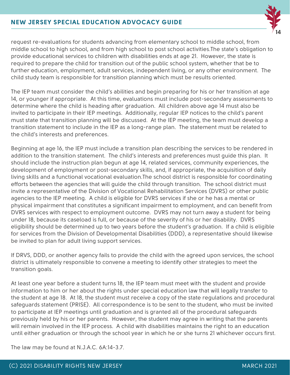

request re-evaluations for students advancing from elementary school to middle school, from middle school to high school, and from high school to post school activities.The state's obligation to provide educational services to children with disabilities ends at age 21. However, the state is required to prepare the child for transition out of the public school system, whether that be to further education, employment, adult services, independent living, or any other environment. The child study team is responsible for transition planning which must be results oriented.

The IEP team must consider the child's abilities and begin preparing for his or her transition at age 14, or younger if appropriate. At this time, evaluations must include post-secondary assessments to determine where the child is heading after graduation. All children above age 14 must also be invited to participate in their IEP meetings. Additionally, regular IEP notices to the child's parent must state that transition planning will be discussed. At the IEP meeting, the team must develop a transition statement to include in the IEP as a long-range plan. The statement must be related to the child's interests and preferences.

Beginning at age 16, the IEP must include a transition plan describing the services to be rendered in addition to the transition statement. The child's interests and preferences must guide this plan. It should include the instruction plan begun at age 14, related services, community experiences, the development of employment or post-secondary skills, and, if appropriate, the acquisition of daily living skills and a functional vocational evaluation.The school district is responsible for coordinating efforts between the agencies that will guide the child through transition. The school district must invite a representative of the Division of Vocational Rehabilitation Services (DVRS) or other public agencies to the IEP meeting. A child is eligible for DVRS services if she or he has a mental or physical impairment that constitutes a significant impairment to employment, and can benefit from DVRS services with respect to employment outcome. DVRS may not turn away a student for being under 18, because its caseload is full, or because of the severity of his or her disability. DVRS eligibility should be determined up to two years before the student's graduation. If a child is eligible for services from the Division of Developmental Disabilities (DDD), a representative should likewise be invited to plan for adult living support services.

If DRVS, DDD, or another agency fails to provide the child with the agreed upon services, the school district is ultimately responsible to convene a meeting to identify other strategies to meet the transition goals.

At least one year before a student turns 18, the IEP team must meet with the student and provide information to him or her about the rights under special education law that will legally transfer to the student at age 18. At 18, the student must receive a copy of the state regulations and procedural safeguards statement (PRISE). All correspondence is to be sent to the student, who must be invited to participate at IEP meetings until graduation and is granted all of the procedural safeguards previously held by his or her parents. However, the student may agree in writing that the parents will remain involved in the IEP process. A child with disabilities maintains the right to an education until either graduation or through the school year in which he or she turns 21 whichever occurs first.

The law may be found at N.J.A.C. 6A:14-3.7.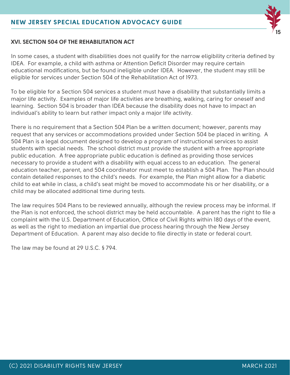# **15**

#### **XVI. SECTION 504 OF THE REHABILITATION ACT**

In some cases, a student with disabilities does not qualify for the narrow eligibility criteria defined by IDEA. For example, a child with asthma or Attention Deficit Disorder may require certain educational modifications, but be found ineligible under IDEA. However, the student may still be eligible for services under Section 504 of the Rehabilitation Act of 1973.

To be eligible for a Section 504 services a student must have a disability that substantially limits a major life activity. Examples of major life activities are breathing, walking, caring for oneself and learning. Section 504 is broader than IDEA because the disability does not have to impact an individual's ability to learn but rather impact only a major life activity.

There is no requirement that a Section 504 Plan be a written document; however, parents may request that any services or accommodations provided under Section 504 be placed in writing. A 504 Plan is a legal document designed to develop a program of instructional services to assist students with special needs. The school district must provide the student with a free appropriate public education. A free appropriate public education is defined as providing those services necessary to provide a student with a disability with equal access to an education. The general education teacher, parent, and 504 coordinator must meet to establish a 504 Plan. The Plan should contain detailed responses to the child's needs. For example, the Plan might allow for a diabetic child to eat while in class, a child's seat might be moved to accommodate his or her disability, or a child may be allocated additional time during tests.

The law requires 504 Plans to be reviewed annually, although the review process may be informal. If the Plan is not enforced, the school district may be held accountable. A parent has the right to file a complaint with the U.S. Department of Education, Office of Civil Rights within 180 days of the event, as well as the right to mediation an impartial due process hearing through the New Jersey Department of Education. A parent may also decide to file directly in state or federal court.

The law may be found at 29 U.S.C. § 794.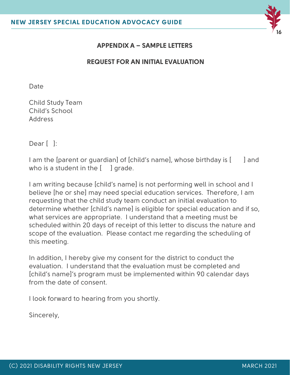

#### **APPENDIX A – SAMPLE LETTERS**

#### **REQUEST FOR AN INITIAL EVALUATION**

Date

Child Study Team Child's School Address

Dear [ ]:

I am the [parent or quardian] of [child's name], whose birthday is [ ] and who is a student in the  $\left[\begin{array}{cc} \end{array}\right]$  grade.

I am writing because [child's name] is not performing well in school and I believe [he or she] may need special education services. Therefore, I am requesting that the child study team conduct an initial evaluation to determine whether [child's name] is eligible for special education and if so, what services are appropriate. I understand that a meeting must be scheduled within 20 days of receipt of this letter to discuss the nature and scope of the evaluation. Please contact me regarding the scheduling of this meeting.

In addition, I hereby give my consent for the district to conduct the evaluation. I understand that the evaluation must be completed and [child's name]'s program must be implemented within 90 calendar days from the date of consent.

I look forward to hearing from you shortly.

Sincerely,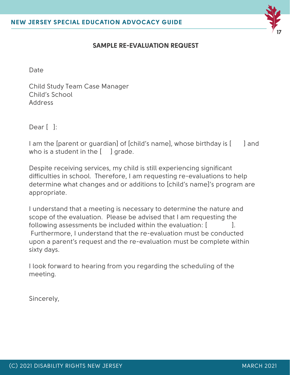

#### **SAMPLE RE-EVALUATION REQUEST**

Date

Child Study Team Case Manager Child's School Address

Dear [ ]:

I am the [parent or guardian] of [child's name], whose birthday is [ ] and who is a student in the  $\left[\begin{array}{cc} 1 \end{array}\right]$  grade.

Despite receiving services, my child is still experiencing significant difficulties in school. Therefore, I am requesting re-evaluations to help determine what changes and or additions to [child's name]'s program are appropriate.

I understand that a meeting is necessary to determine the nature and scope of the evaluation. Please be advised that I am requesting the following assessments be included within the evaluation:  $[$   $]$ . Furthermore, I understand that the re-evaluation must be conducted upon a parent's request and the re-evaluation must be complete within sixty days.

I look forward to hearing from you regarding the scheduling of the meeting.

Sincerely,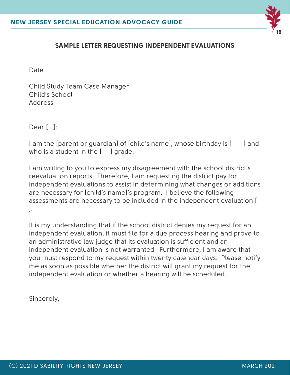

#### **SAMPLE LETTER REQUESTING INDEPENDENT EVALUATIONS**

Date

Child Study Team Case Manager Child's School Address

Dear [ ]:

I am the [parent or guardian] of [child's name], whose birthday is [ ] and who is a student in the  $\left[\begin{array}{cc} 1 \end{array}\right]$  grade.

I am writing to you to express my disagreement with the school district's reevaluation reports. Therefore, I am requesting the district pay for independent evaluations to assist in determining what changes or additions are necessary for [child's name]'s program. I believe the following assessments are necessary to be included in the independent evaluation [ ].

It is my understanding that if the school district denies my request for an independent evaluation, it must file for a due process hearing and prove to an administrative law judge that its evaluation is sufficient and an independent evaluation is not warranted. Furthermore, I am aware that you must respond to my request within twenty calendar days. Please notify me as soon as possible whether the district will grant my request for the independent evaluation or whether a hearing will be scheduled.

Sincerely,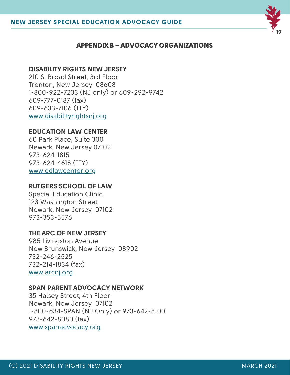

#### APPENDIX B – ADVOCACY ORGANIZATIONS

#### **DISABILITY RIGHTS NEW JERSEY**

210 S. Broad Street, 3rd Floor Trenton, New Jersey 08608 1-800-922-7233 (NJ only) or 609-292-9742 609-777-0187 (fax) 609-633-7106 (TTY) [www.disabilityrightsnj.org](http://www.disabilityrightsnj.org/)

#### **EDUCATION LAW CENTER**

60 Park Place, Suite 300 Newark, New Jersey 07102 973-624-1815 973-624-4618 (TTY) [www.edlawcenter.org](http://www.edlawcenter.org/)

#### **RUTGERS SCHOOL OF LAW**

Special Education Clinic 123 Washington Street Newark, New Jersey 07102 973-353-5576

#### **THE ARC OF NEW JERSEY**

985 Livingston Avenue New Brunswick, New Jersey 08902 732-246-2525 732-214-1834 (fax) [www.arcnj.org](http://www.arcnj.org/)

#### **SPAN PARENT ADVOCACY NETWORK**

35 Halsey Street, 4th Floor Newark, New Jersey 07102 1-800-634-SPAN (NJ Only) or 973-642-8100 973-642-8080 (fax) [www.spanadvocacy.org](http://www.spannj.org/)